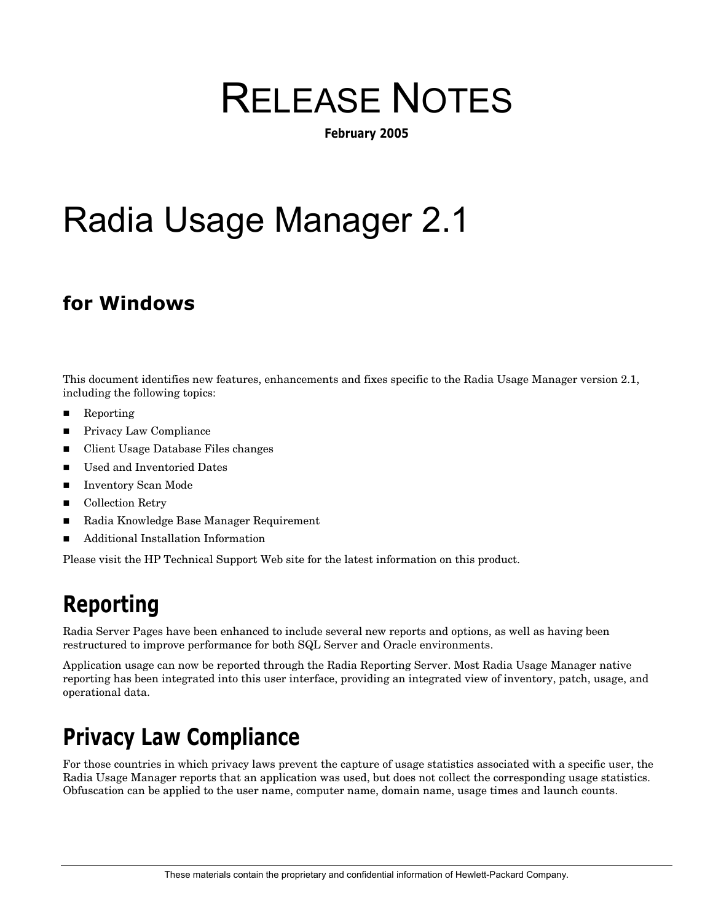# RELEASE NOTES

**February 2005** 

# Radia Usage Manager 2.1

### **for Windows**

This document identifies new features, enhancements and fixes specific to the Radia Usage Manager version 2.1, including the following topics:

- Reporting
- Privacy Law Compliance
- Client Usage Database Files changes
- Used and Inventoried Dates
- Inventory Scan Mode
- Collection Retry
- Radia Knowledge Base Manager Requirement
- Additional Installation Information

Please visit the HP Technical Support Web site for the latest information on this product.

### **Reporting**

Radia Server Pages have been enhanced to include several new reports and options, as well as having been restructured to improve performance for both SQL Server and Oracle environments.

Application usage can now be reported through the Radia Reporting Server. Most Radia Usage Manager native reporting has been integrated into this user interface, providing an integrated view of inventory, patch, usage, and operational data.

# **Privacy Law Compliance**

For those countries in which privacy laws prevent the capture of usage statistics associated with a specific user, the Radia Usage Manager reports that an application was used, but does not collect the corresponding usage statistics. Obfuscation can be applied to the user name, computer name, domain name, usage times and launch counts.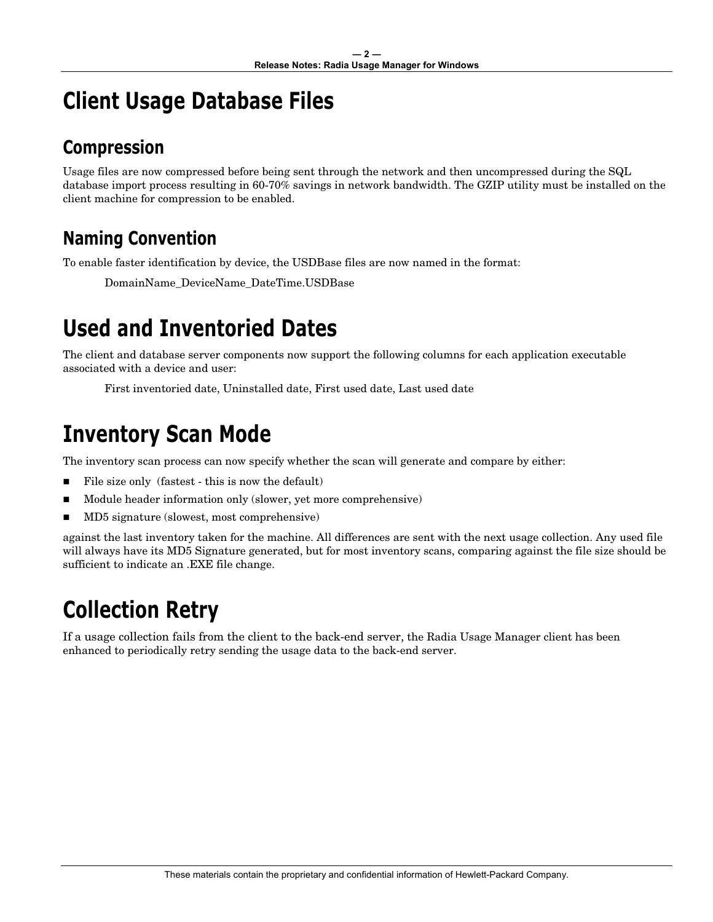# **Client Usage Database Files**

### **Compression**

Usage files are now compressed before being sent through the network and then uncompressed during the SQL database import process resulting in 60-70% savings in network bandwidth. The GZIP utility must be installed on the client machine for compression to be enabled.

### **Naming Convention**

To enable faster identification by device, the USDBase files are now named in the format:

DomainName\_DeviceName\_DateTime.USDBase

# **Used and Inventoried Dates**

The client and database server components now support the following columns for each application executable associated with a device and user:

First inventoried date, Uninstalled date, First used date, Last used date

# **Inventory Scan Mode**

The inventory scan process can now specify whether the scan will generate and compare by either:

- File size only (fastest this is now the default)
- Module header information only (slower, yet more comprehensive)
- MD5 signature (slowest, most comprehensive)

against the last inventory taken for the machine. All differences are sent with the next usage collection. Any used file will always have its MD5 Signature generated, but for most inventory scans, comparing against the file size should be sufficient to indicate an .EXE file change.

# **Collection Retry**

If a usage collection fails from the client to the back-end server, the Radia Usage Manager client has been enhanced to periodically retry sending the usage data to the back-end server.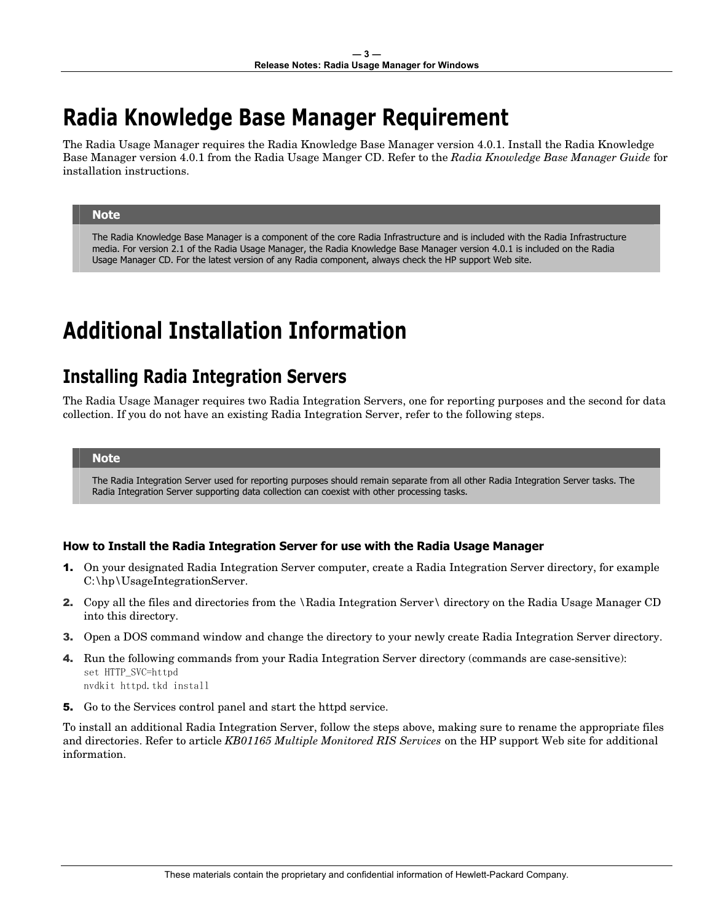# **Radia Knowledge Base Manager Requirement**

The Radia Usage Manager requires the Radia Knowledge Base Manager version 4.0.1. Install the Radia Knowledge Base Manager version 4.0.1 from the Radia Usage Manger CD. Refer to the *Radia Knowledge Base Manager Guide* for installation instructions.

#### **Note**

The Radia Knowledge Base Manager is a component of the core Radia Infrastructure and is included with the Radia Infrastructure media. For version 2.1 of the Radia Usage Manager, the Radia Knowledge Base Manager version 4.0.1 is included on the Radia Usage Manager CD. For the latest version of any Radia component, always check the HP support Web site.

### **Additional Installation Information**

### **Installing Radia Integration Servers**

The Radia Usage Manager requires two Radia Integration Servers, one for reporting purposes and the second for data collection. If you do not have an existing Radia Integration Server, refer to the following steps.

#### **Note**

The Radia Integration Server used for reporting purposes should remain separate from all other Radia Integration Server tasks. The Radia Integration Server supporting data collection can coexist with other processing tasks.

#### **How to Install the Radia Integration Server for use with the Radia Usage Manager**

- 1. On your designated Radia Integration Server computer, create a Radia Integration Server directory, for example C:\hp\UsageIntegrationServer.
- 2. Copy all the files and directories from the \Radia Integration Server\ directory on the Radia Usage Manager CD into this directory.
- 3. Open a DOS command window and change the directory to your newly create Radia Integration Server directory.
- 4. Run the following commands from your Radia Integration Server directory (commands are case-sensitive): set HTTP\_SVC=httpd nvdkit httpd.tkd install
- 5. Go to the Services control panel and start the httpd service.

To install an additional Radia Integration Server, follow the steps above, making sure to rename the appropriate files and directories. Refer to article *KB01165 Multiple Monitored RIS Services* on the HP support Web site for additional information.